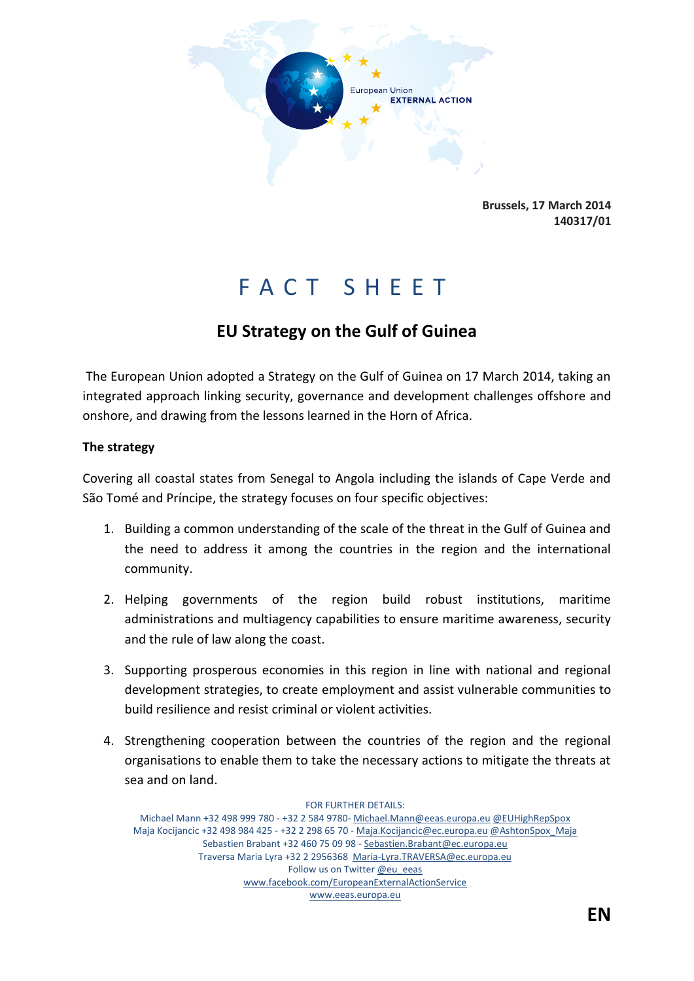

**Brussels, 17 March 2014 140317/01**

# F A C T S H E E T

# **EU Strategy on the Gulf of Guinea**

The European Union adopted a Strategy on the Gulf of Guinea on 17 March 2014, taking an integrated approach linking security, governance and development challenges offshore and onshore, and drawing from the lessons learned in the Horn of Africa.

### **The strategy**

Covering all coastal states from Senegal to Angola including the islands of Cape Verde and São Tomé and Príncipe, the strategy focuses on four specific objectives:

- 1. Building a common understanding of the scale of the threat in the Gulf of Guinea and the need to address it among the countries in the region and the international community.
- 2. Helping governments of the region build robust institutions, maritime administrations and multiagency capabilities to ensure maritime awareness, security and the rule of law along the coast.
- 3. Supporting prosperous economies in this region in line with national and regional development strategies, to create employment and assist vulnerable communities to build resilience and resist criminal or violent activities.
- 4. Strengthening cooperation between the countries of the region and the regional organisations to enable them to take the necessary actions to mitigate the threats at sea and on land.

FOR FURTHER DETAILS: Michael Mann +32 498 999 780 - +32 2 584 9780- Michael.Mann@eeas.europa.eu @EUHighRepSpox Maja Kocijancic +32 498 984 425 - +32 2 298 65 70 - Maja.Kocijancic@ec.europa.eu @AshtonSpox\_Maja Sebastien Brabant +32 460 75 09 98 - Sebastien.Brabant@ec.europa.eu Traversa Maria Lyra +32 2 2956368 Maria-Lyra.TRAVERSA@ec.europa.eu Follow us on Twitter @eu\_eeas www.facebook.com/EuropeanExternalActionService www.eeas.europa.eu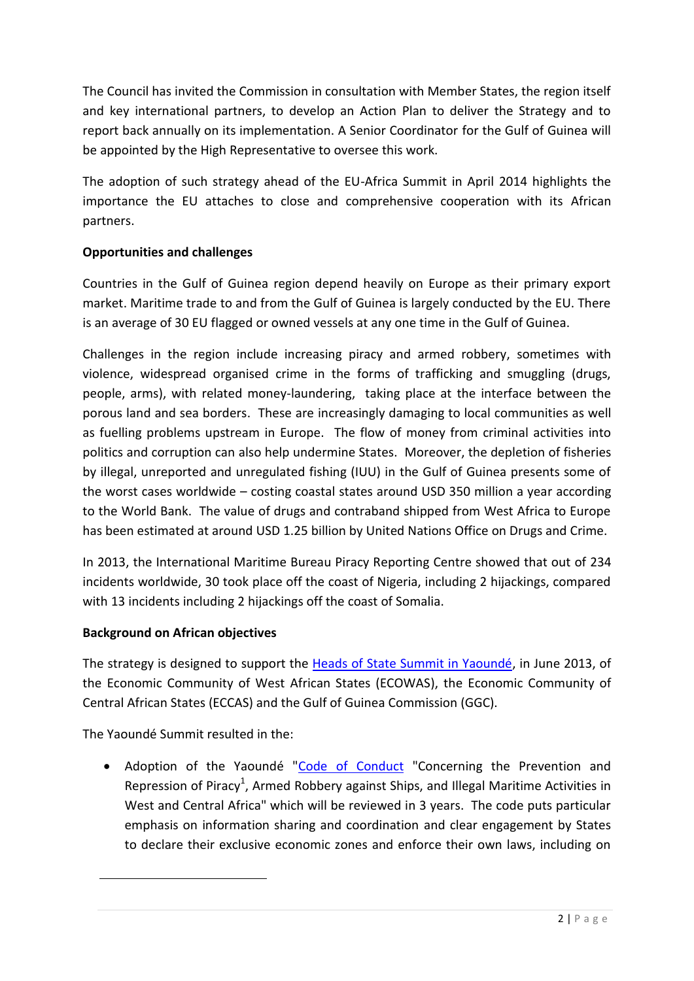The Council has invited the Commission in consultation with Member States, the region itself and key international partners, to develop an Action Plan to deliver the Strategy and to report back annually on its implementation. A Senior Coordinator for the Gulf of Guinea will be appointed by the High Representative to oversee this work.

The adoption of such strategy ahead of the EU-Africa Summit in April 2014 highlights the importance the EU attaches to close and comprehensive cooperation with its African partners.

# **Opportunities and challenges**

Countries in the Gulf of Guinea region depend heavily on Europe as their primary export market. Maritime trade to and from the Gulf of Guinea is largely conducted by the EU. There is an average of 30 EU flagged or owned vessels at any one time in the Gulf of Guinea.

Challenges in the region include increasing piracy and armed robbery, sometimes with violence, widespread organised crime in the forms of trafficking and smuggling (drugs, people, arms), with related money-laundering, taking place at the interface between the porous land and sea borders. These are increasingly damaging to local communities as well as fuelling problems upstream in Europe. The flow of money from criminal activities into politics and corruption can also help undermine States. Moreover, the depletion of fisheries by illegal, unreported and unregulated fishing (IUU) in the Gulf of Guinea presents some of the worst cases worldwide – costing coastal states around USD 350 million a year according to the World Bank. The value of drugs and contraband shipped from West Africa to Europe has been estimated at around USD 1.25 billion by United Nations Office on Drugs and Crime.

In 2013, the International Maritime Bureau Piracy Reporting Centre showed that out of 234 incidents worldwide, 30 took place off the coast of Nigeria, including 2 hijackings, compared with 13 incidents including 2 hijackings off the coast of Somalia.

## **Background on African objectives**

The strategy is designed to support the [Heads of State Summit in Yaoundé,](http://pages.au.int/maritime/events/summit-heads-state-and-government-maritime-safety-and-security-gulf-guinea-yaounde-cameroon) in June 2013, of the Economic Community of West African States (ECOWAS), the Economic Community of Central African States (ECCAS) and the Gulf of Guinea Commission (GGC).

The Yaoundé Summit resulted in the:

**.** 

• Adoption of the Yaoundé ["Code of Conduct](http://pages.au.int/sites/default/files/Code%20of%20Conduct.pdf) "Concerning the Prevention and Repression of Piracy<sup>1</sup>, Armed Robbery against Ships, and Illegal Maritime Activities in West and Central Africa" which will be reviewed in 3 years. The code puts particular emphasis on information sharing and coordination and clear engagement by States to declare their exclusive economic zones and enforce their own laws, including on